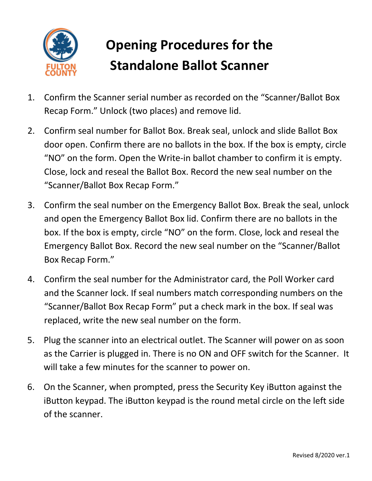

## **Opening Procedures for the Standalone Ballot Scanner**

- 1. Confirm the Scanner serial number as recorded on the "Scanner/Ballot Box Recap Form." Unlock (two places) and remove lid.
- 2. Confirm seal number for Ballot Box. Break seal, unlock and slide Ballot Box door open. Confirm there are no ballots in the box. If the box is empty, circle "NO" on the form. Open the Write-in ballot chamber to confirm it is empty. Close, lock and reseal the Ballot Box. Record the new seal number on the "Scanner/Ballot Box Recap Form."
- 3. Confirm the seal number on the Emergency Ballot Box. Break the seal, unlock and open the Emergency Ballot Box lid. Confirm there are no ballots in the box. If the box is empty, circle "NO" on the form. Close, lock and reseal the Emergency Ballot Box. Record the new seal number on the "Scanner/Ballot Box Recap Form."
- 4. Confirm the seal number for the Administrator card, the Poll Worker card and the Scanner lock. If seal numbers match corresponding numbers on the "Scanner/Ballot Box Recap Form" put a check mark in the box. If seal was replaced, write the new seal number on the form.
- 5. Plug the scanner into an electrical outlet. The Scanner will power on as soon as the Carrier is plugged in. There is no ON and OFF switch for the Scanner. It will take a few minutes for the scanner to power on.
- 6. On the Scanner, when prompted, press the Security Key iButton against the iButton keypad. The iButton keypad is the round metal circle on the left side of the scanner.